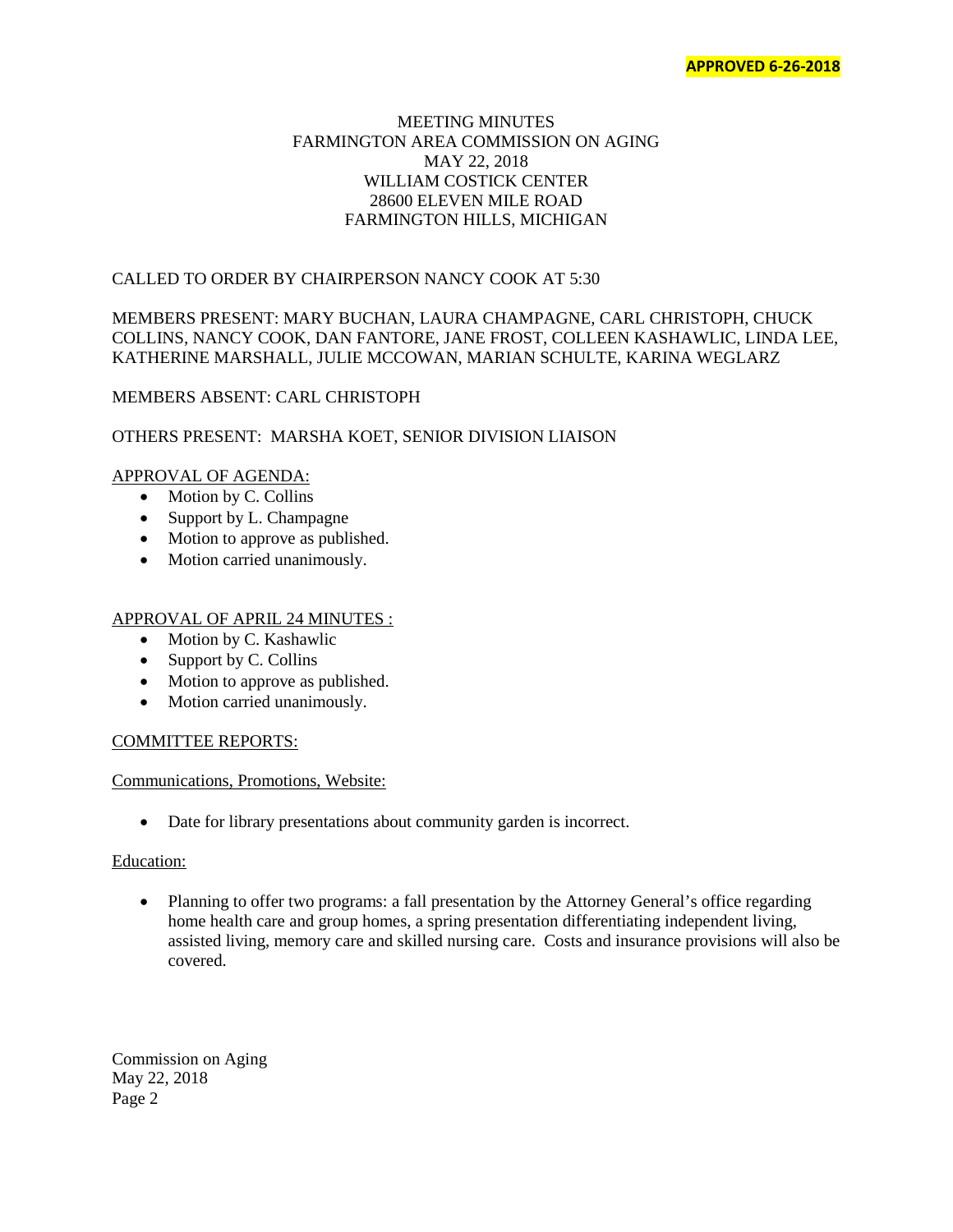## MEETING MINUTES FARMINGTON AREA COMMISSION ON AGING MAY 22, 2018 WILLIAM COSTICK CENTER 28600 ELEVEN MILE ROAD FARMINGTON HILLS, MICHIGAN

## CALLED TO ORDER BY CHAIRPERSON NANCY COOK AT 5:30

# MEMBERS PRESENT: MARY BUCHAN, LAURA CHAMPAGNE, CARL CHRISTOPH, CHUCK COLLINS, NANCY COOK, DAN FANTORE, JANE FROST, COLLEEN KASHAWLIC, LINDA LEE, KATHERINE MARSHALL, JULIE MCCOWAN, MARIAN SCHULTE, KARINA WEGLARZ

## MEMBERS ABSENT: CARL CHRISTOPH

## OTHERS PRESENT: MARSHA KOET, SENIOR DIVISION LIAISON

## APPROVAL OF AGENDA:

- Motion by C. Collins
- Support by L. Champagne
- Motion to approve as published.
- Motion carried unanimously.

## APPROVAL OF APRIL 24 MINUTES :

- Motion by C. Kashawlic
- Support by C. Collins
- Motion to approve as published.
- Motion carried unanimously.

## COMMITTEE REPORTS:

## Communications, Promotions, Website:

• Date for library presentations about community garden is incorrect.

## Education:

• Planning to offer two programs: a fall presentation by the Attorney General's office regarding home health care and group homes, a spring presentation differentiating independent living, assisted living, memory care and skilled nursing care. Costs and insurance provisions will also be covered.

Commission on Aging May 22, 2018 Page 2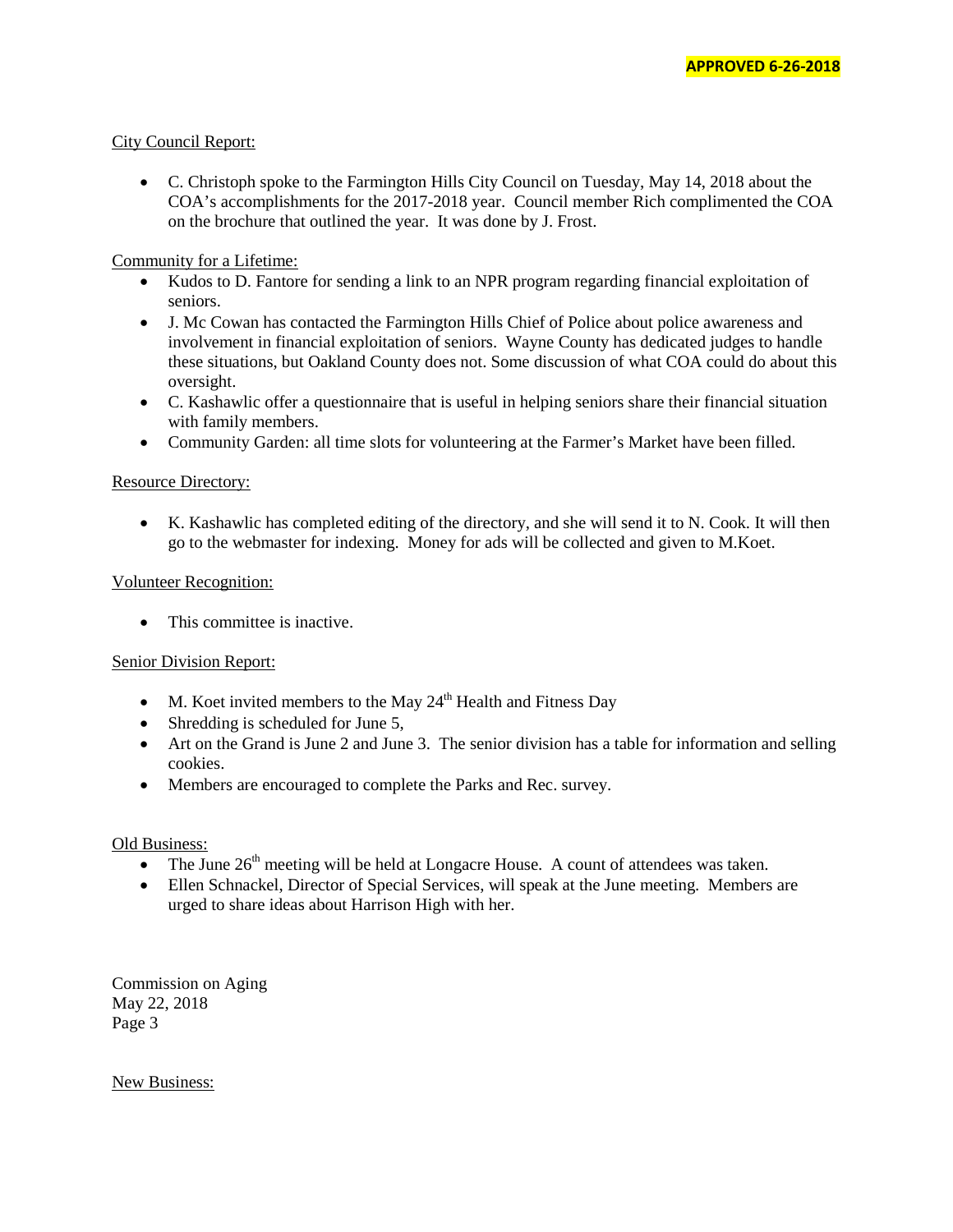## City Council Report:

• C. Christoph spoke to the Farmington Hills City Council on Tuesday, May 14, 2018 about the COA's accomplishments for the 2017-2018 year. Council member Rich complimented the COA on the brochure that outlined the year. It was done by J. Frost.

## Community for a Lifetime:

- Kudos to D. Fantore for sending a link to an NPR program regarding financial exploitation of seniors.
- J. Mc Cowan has contacted the Farmington Hills Chief of Police about police awareness and involvement in financial exploitation of seniors. Wayne County has dedicated judges to handle these situations, but Oakland County does not. Some discussion of what COA could do about this oversight.
- C. Kashawlic offer a questionnaire that is useful in helping seniors share their financial situation with family members.
- Community Garden: all time slots for volunteering at the Farmer's Market have been filled.

## Resource Directory:

• K. Kashawlic has completed editing of the directory, and she will send it to N. Cook. It will then go to the webmaster for indexing. Money for ads will be collected and given to M.Koet.

## Volunteer Recognition:

• This committee is inactive.

## Senior Division Report:

- M. Koet invited members to the May  $24<sup>th</sup>$  Health and Fitness Day
- Shredding is scheduled for June 5,
- Art on the Grand is June 2 and June 3. The senior division has a table for information and selling cookies.
- Members are encouraged to complete the Parks and Rec. survey.

## Old Business:

- The June  $26<sup>th</sup>$  meeting will be held at Longacre House. A count of attendees was taken.
- Ellen Schnackel, Director of Special Services, will speak at the June meeting. Members are urged to share ideas about Harrison High with her.

Commission on Aging May 22, 2018 Page 3

New Business: